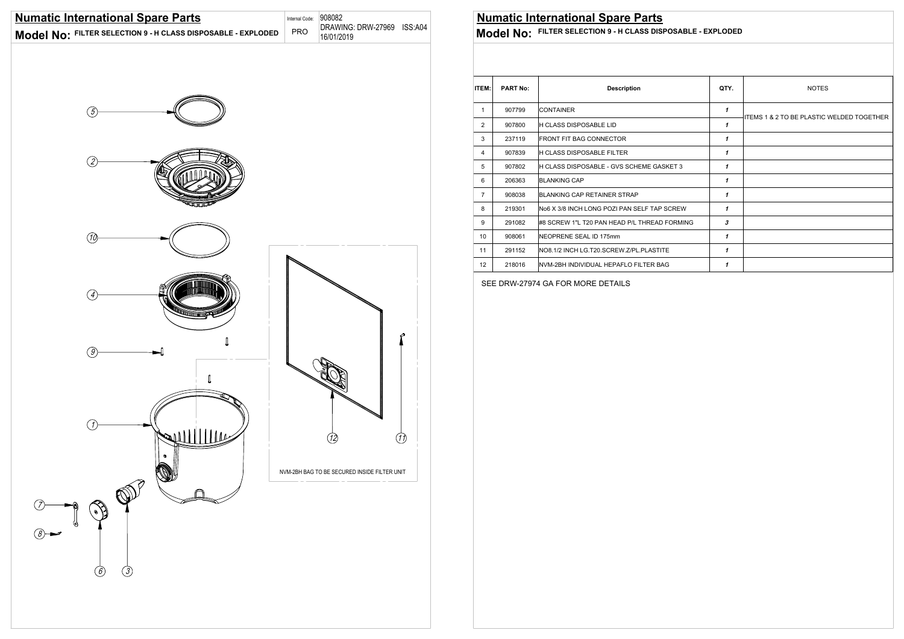

### SEE DRW-27974 GA FOR MORE DETAILS

| <b>PART No:</b> | <b>Description</b>                           |                                                                                                 | <b>NOTES</b>                              |  |  |  |
|-----------------|----------------------------------------------|-------------------------------------------------------------------------------------------------|-------------------------------------------|--|--|--|
| 907799          | <b>CONTAINER</b>                             | 1                                                                                               | ITEMS 1 & 2 TO BE PLASTIC WELDED TOGETHER |  |  |  |
| 907800          | H CLASS DISPOSABLE LID                       | 1                                                                                               |                                           |  |  |  |
| 237119          | <b>FRONT FIT BAG CONNECTOR</b>               | 1                                                                                               |                                           |  |  |  |
| 907839          |                                              | 1                                                                                               |                                           |  |  |  |
| 907802          | H CLASS DISPOSABLE - GVS SCHEME GASKET 3     | 1                                                                                               |                                           |  |  |  |
| 206363          |                                              | 1                                                                                               |                                           |  |  |  |
| 908038          | BLANKING CAP RETAINER STRAP                  | 1                                                                                               |                                           |  |  |  |
| 219301          |                                              | 1                                                                                               |                                           |  |  |  |
| 291082          | #8 SCREW 1"L T20 PAN HEAD P/L THREAD FORMING | 3                                                                                               |                                           |  |  |  |
| 908061          | NEOPRENE SEAL ID 175mm                       | 1                                                                                               |                                           |  |  |  |
| 291152          | NO8.1/2 INCH LG.T20.SCREW.Z/PL.PLASTITE      | 1                                                                                               |                                           |  |  |  |
| 218016          | NVM-2BH INDIVIDUAL HEPAFLO FILTER BAG        | 1                                                                                               |                                           |  |  |  |
|                 |                                              | H CLASS DISPOSABLE FILTER<br><b>BLANKING CAP</b><br>No6 X 3/8 INCH LONG POZI PAN SELF TAP SCREW | QTY.                                      |  |  |  |



**Model No: FILTER SELECTION 9 - H CLASS DISPOSABLE - EXPLODED** 

### **Numatic International Spare Parts**

**Model No: FILTER SELECTION 9 - H CLASS DISPOSABLE - EXPLODED** 

DRAWING: DRW-27969 ISS:A04 Internal Code: 908082 PRO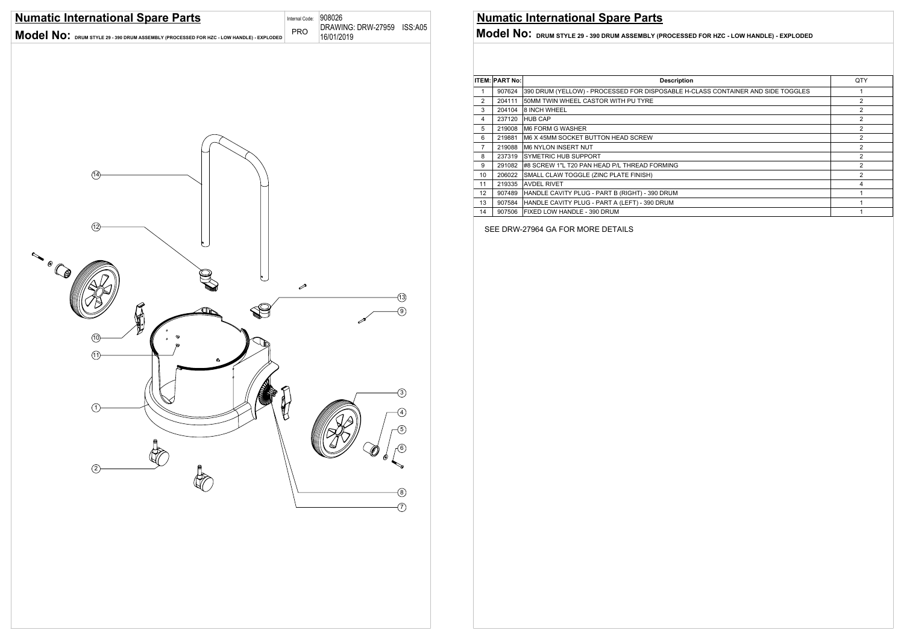SEE DRW-27964 GA FOR MORE DETAILS



|    | <b>ITEM: PART No:</b> | <b>Description</b>                                                              | QTY |  |
|----|-----------------------|---------------------------------------------------------------------------------|-----|--|
|    | 907624                | 390 DRUM (YELLOW) - PROCESSED FOR DISPOSABLE H-CLASS CONTAINER AND SIDE TOGGLES |     |  |
| 2  | 204111                | 50MM TWIN WHEEL CASTOR WITH PU TYRE                                             | 2   |  |
| 3  | 204104                | <b>8 INCH WHEEL</b>                                                             | 2   |  |
| 4  | 237120                | <b>HUB CAP</b>                                                                  | 2   |  |
| 5  | 219008                | <b>IM6 FORM G WASHER</b>                                                        |     |  |
| 6  | 219881                | IM6 X 45MM SOCKET BUTTON HEAD SCREW                                             | 2   |  |
| 7  | 219088                | IM6 NYLON INSERT NUT                                                            | 2   |  |
| 8  | 237319                | ISYMETRIC HUB SUPPORT                                                           | 2   |  |
| 9  | 291082                | #8 SCREW 1"L T20 PAN HEAD P/L THREAD FORMING                                    | 2   |  |
| 10 | 206022                | SMALL CLAW TOGGLE (ZINC PLATE FINISH)                                           | 2   |  |
| 11 | 219335                | <b>AVDEL RIVET</b>                                                              | 4   |  |
| 12 | 907489                | HANDLE CAVITY PLUG - PART B (RIGHT) - 390 DRUM                                  |     |  |
| 13 | 907584                | HANDLE CAVITY PLUG - PART A (LEFT) - 390 DRUM                                   |     |  |
| 14 | 907506                | <b>IFIXED LOW HANDLE - 390 DRUM</b>                                             |     |  |

## **Numatic International Spare Parts**

**Model No: DRUM STYLE 29 - 390 DRUM ASSEMBLY (PROCESSED FOR HZC - LOW HANDLE) - EXPLODED** 16/01/2019 **DRUM STYLE 29 - 390 DRUM ASSEMBLY (PROCESSED FOR HZC - LOW HANDLE) - EXPLODED**